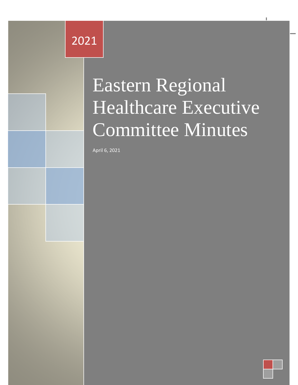# Eastern Regional Healthcare 2021

Minuts

# Executive Committee Committee Committee Committee Committee Committee Committee Committee Committee Committee Minutes Eastern Regional Healthcare Executive Committee Minutes

Eastern Regional Healthcare Executive Committee Minutes 2021

April 6, 2021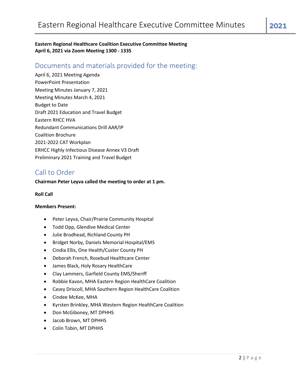**Eastern Regional Healthcare Coalition Executive Committee Meeting April 6, 2021 via Zoom Meeting 1300 - 1335**

## Documents and materials provided for the meeting:

April 6, 2021 Meeting Agenda PowerPoint Presentation Meeting Minutes January 7, 2021 Meeting Minutes March 4, 2021 Budget to Date Draft 2021 Education and Travel Budget Eastern RHCC HVA Redundant Communications Drill AAR/IP Coalition Brochure 2021-2022 CAT Workplan ERHCC Highly Infectious Disease Annex V3 Draft Preliminary 2021 Training and Travel Budget

## Call to Order

#### **Chairman Peter Leyva called the meeting to order at 1 pm.**

#### **Roll Call**

#### **Members Present:**

- Peter Leyva, Chair/Prairie Community Hospital
- Todd Opp, Glendive Medical Center
- Julie Brodhead, Richland County PH
- Bridget Norby, Daniels Memorial Hospital/EMS
- Cindia Ellis, One Health/Custer County PH
- Deborah French, Rosebud Healthcare Center
- James Black, Holy Rosary HealthCare
- Clay Lammers, Garfield County EMS/Sheriff
- Robbie Kavon, MHA Eastern Region HealthCare Coalition
- Casey Driscoll, MHA Southern Region HealthCare Coalition
- Cindee McKee, MHA
- Kyrsten Brinkley, MHA Western Region HealthCare Coalition
- Don McGiboney, MT DPHHS
- Jacob Brown, MT DPHHS
- Colin Tobin, MT DPHHS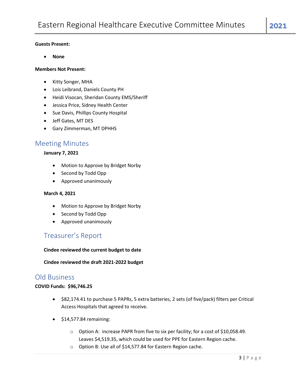#### **Guests Present:**

• **None**

#### **Members Not Present:**

- Kitty Songer, MHA
- Lois Leibrand, Daniels County PH
- Heidi Visocan, Sheridan County EMS/Sheriff
- Jessica Price, Sidney Health Center
- Sue Davis, Phillips County Hospital
- Jeff Gates, MT DES
- Gary Zimmerman, MT DPHHS

### Meeting Minutes

#### **January 7, 2021**

- Motion to Approve by Bridget Norby
- Second by Todd Opp
- Approved unanimously

#### **March 4, 2021**

- Motion to Approve by Bridget Norby
- Second by Todd Opp
- Approved unanimously

## Treasurer's Report

#### **Cindee reviewed the current budget to date**

**Cindee reviewed the draft 2021-2022 budget**

## Old Business

#### **COVID Funds: \$96,746.25**

- \$82,174.41 to purchase 5 PAPRs, 5 extra batteries, 2 sets (of five/pack) filters per Critical Access Hospitals that agreed to receive.
- $\bullet$  \$14,577.84 remaining:
	- o Option A: increase PAPR from five to six per facility; for a cost of \$10,058.49. Leaves \$4,519.35, which could be used for PPE for Eastern Region cache.
	- o Option B: Use all of \$14,577.84 for Eastern Region cache.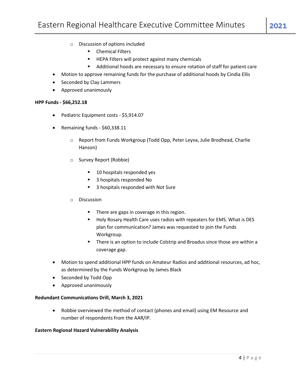- o Discussion of options included
	- Chemical Filters
	- HEPA Filters will protect against many chemicals
	- Additional hoods are necessary to ensure rotation of staff for patient care
- Motion to approve remaining funds for the purchase of additional hoods by Cindia Ellis
- Seconded by Clay Lammers
- Approved unanimously

#### **HPP Funds - \$66,252.18**

- Pediatric Equipment costs \$5,914.07
- Remaining funds \$60,338.11
	- o Report from Funds Workgroup (Todd Opp, Peter Leyva, Julie Brodhead, Charlie Hanson)
	- o Survey Report (Robbie)
		- 10 hospitals responded yes
		- 3 hospitals responded No
		- 3 hospitals responded with Not Sure

#### o Discussion

- There are gaps in coverage in this region.
- Holy Rosary Health Care uses radios with repeaters for EMS. What is DES plan for communication? James was requested to join the Funds Workgroup.
- There is an option to include Colstrip and Broadus since those are within a coverage gap.
- Motion to spend additional HPP funds on Amateur Radios and additional resources, ad hoc, as determined by the Funds Workgroup by James Black
- Seconded by Todd Opp
- Approved unanimously

#### **Redundant Communications Drill, March 3, 2021**

• Robbie overviewed the method of contact (phones and email) using EM Resource and number of respondents from the AAR/IP.

#### **Eastern Regional Hazard Vulnerability Analysis**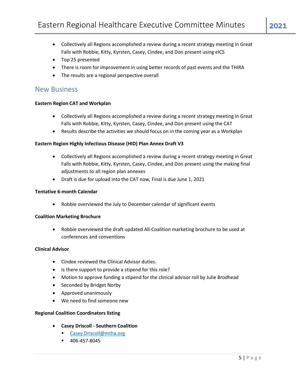- Collectively all Regions accomplished a review during a recent strategy meeting in Great Falls with Robbie, Kitty, Kyrsten, Casey, Cindee, and Don present using eICS
- Top 25 presented
- There is room for improvement in using better records of past events and the THIRA
- The results are a regional perspective overall

### New Business

#### **Eastern Region CAT and Workplan**

- Collectively all Regions accomplished a review during a recent strategy meeting in Great Falls with Robbie, Kitty, Kyrsten, Casey, Cindee, and Don present using the CAT
- Results describe the activities we should focus on in the coming year as a Workplan

#### **Eastern Region Highly Infectious Disease (HID) Plan Annex Draft V3**

- Collectively all Regions accomplished a review during a recent strategy meeting in Great Falls with Robbie, Kitty, Kyrsten, Casey, Cindee, and Don present using the making final adjustments to all region plan annexes
- Draft is due for upload into the CAT now, Final is due June 1, 2021

#### **Tentative 6-month Calendar**

• Robbie overviewed the July to December calendar of significant events

#### **Coalition Marketing Brochure**

• Robbie overviewed the draft updated All-Coalition marketing brochure to be used at conferences and conventions

#### **Clinical Advisor**

- Cindee reviewed the Clinical Advisor duties.
- Is there support to provide a stipend for this role?
- Motion to approve funding a stipend for the clinical advisor roll by Julie Brodhead
- Seconded by Bridget Norby
- Approved unanimously
- We need to find someone new

#### **Regional Coalition Coordinators listing**

- **Casey Driscoll - Southern Coalition**
	- [Casey.Driscoll@mtha.org](mailto:Casey.Driscoll@mtha.org)
	- 406-457-8045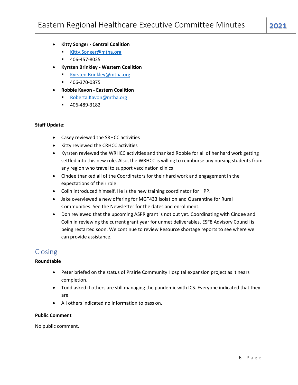- **Kitty Songer - Central Coalition**
	- [Kitty.Songer@mtha.org](mailto:Kitty.Songer@mtha.org)
	- 406-457-8025
- **Kyrsten Brinkley - Western Coalition**
	- [Kyrsten.Brinkley@mtha.org](mailto:Kyrsten.Brinkley@mtha.org)
	- 406-370-0875
- **Robbie Kavon - Eastern Coalition**
	- [Roberta.Kavon@mtha.org](mailto:Roberta.kavon@mtha.org)
	- 406-489-3182

#### **Staff Update:**

- Casey reviewed the SRHCC activities
- Kitty reviewed the CRHCC activities
- Kyrsten reviewed the WRHCC activities and thanked Robbie for all of her hard work getting settled into this new role. Also, the WRHCC is willing to reimburse any nursing students from any region who travel to support vaccination clinics
- Cindee thanked all of the Coordinators for their hard work and engagement in the expectations of their role.
- Colin introduced himself. He is the new training coordinator for HPP.
- Jake overviewed a new offering for MGT433 Isolation and Quarantine for Rural Communities. See the Newsletter for the dates and enrollment.
- Don reviewed that the upcoming ASPR grant is not out yet. Coordinating with Cindee and Colin in reviewing the current grant year for unmet deliverables. ESF8 Advisory Council is being restarted soon. We continue to review Resource shortage reports to see where we can provide assistance.

# Closing

#### **Roundtable**

- Peter briefed on the status of Prairie Community Hospital expansion project as it nears completion.
- Todd asked if others are still managing the pandemic with ICS. Everyone indicated that they are.
- All others indicated no information to pass on.

#### **Public Comment**

No public comment.